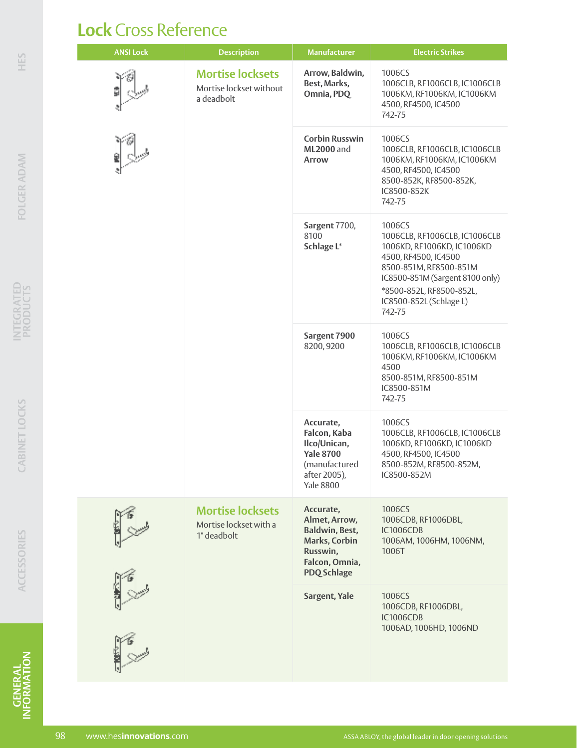## **Lock** Cross Reference

| <b>ANSI Lock</b> | <b>Description</b>                                               | <b>Manufacturer</b>                                                                                                | <b>Electric Strikes</b>                                                                                                                                                                                                     |
|------------------|------------------------------------------------------------------|--------------------------------------------------------------------------------------------------------------------|-----------------------------------------------------------------------------------------------------------------------------------------------------------------------------------------------------------------------------|
|                  | <b>Mortise locksets</b><br>Mortise lockset without<br>a deadbolt | Arrow, Baldwin,<br>Best, Marks,<br>Omnia, PDQ                                                                      | 1006CS<br>1006CLB, RF1006CLB, IC1006CLB<br>1006KM, RF1006KM, IC1006KM<br>4500, RF4500, IC4500<br>742-75                                                                                                                     |
|                  |                                                                  | <b>Corbin Russwin</b><br><b>ML2000</b> and<br>Arrow                                                                | 1006CS<br>1006CLB, RF1006CLB, IC1006CLB<br>1006KM, RF1006KM, IC1006KM<br>4500, RF4500, IC4500<br>8500-852K, RF8500-852K,<br>IC8500-852K<br>742-75                                                                           |
|                  |                                                                  | Sargent 7700,<br>8100<br>Schlage L*                                                                                | 1006CS<br>1006CLB, RF1006CLB, IC1006CLB<br>1006KD, RF1006KD, IC1006KD<br>4500, RF4500, IC4500<br>8500-851M, RF8500-851M<br>IC8500-851M (Sargent 8100 only)<br>*8500-852L, RF8500-852L,<br>IC8500-852L (Schlage L)<br>742-75 |
|                  |                                                                  | Sargent 7900<br>8200, 9200                                                                                         | 1006CS<br>1006CLB, RF1006CLB, IC1006CLB<br>1006KM, RF1006KM, IC1006KM<br>4500<br>8500-851M, RF8500-851M<br>IC8500-851M<br>742-75                                                                                            |
|                  |                                                                  | Accurate,<br>Falcon, Kaba<br>Ilco/Unican,<br><b>Yale 8700</b><br>(manufactured<br>after 2005),<br><b>Yale 8800</b> | 1006CS<br>1006CLB, RF1006CLB, IC1006CLB<br>1006KD, RF1006KD, IC1006KD<br>4500, RF4500, IC4500<br>8500-852M, RF8500-852M,<br>IC8500-852M                                                                                     |
|                  | <b>Mortise locksets</b><br>Mortise lockset with a<br>1" deadbolt | Accurate,<br>Almet, Arrow,<br>Baldwin, Best,<br>Marks, Corbin<br>Russwin,<br>Falcon, Omnia,<br><b>PDQ Schlage</b>  | 1006CS<br>1006CDB, RF1006DBL,<br><b>IC1006CDB</b><br>1006AM, 1006HM, 1006NM,<br>1006T                                                                                                                                       |
|                  |                                                                  | Sargent, Yale                                                                                                      | 1006CS<br>1006CDB, RF1006DBL,<br>IC1006CDB<br>1006AD, 1006HD, 1006ND                                                                                                                                                        |